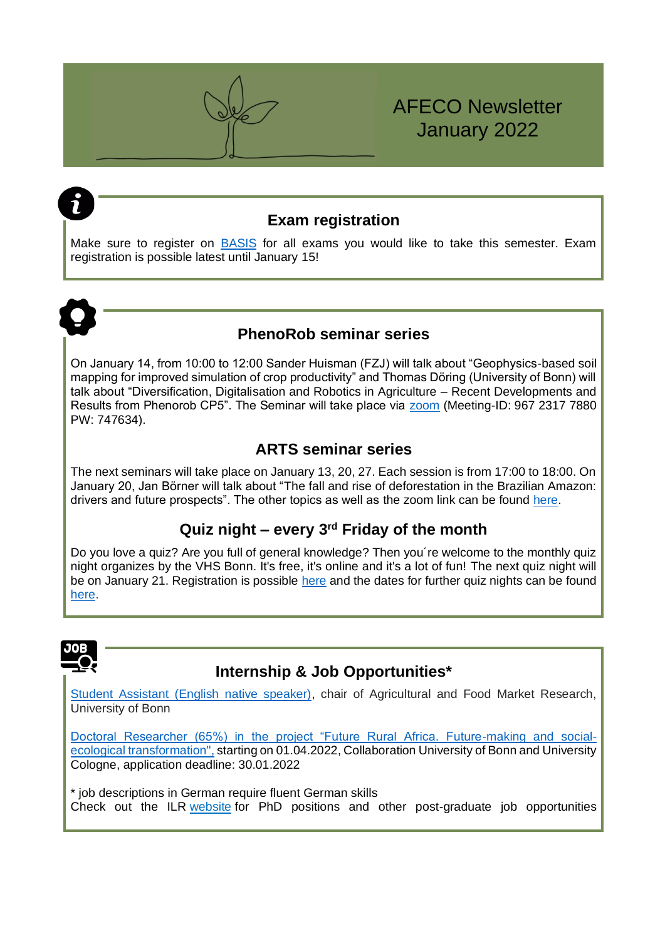## **Exam registration**

AFECO Newsletter

January 2022

Make sure to register on [BASIS](https://basis.uni-bonn.de/qisserver/rds?state=user&type=0) for all exams you would like to take this semester. Exam registration is possible latest until January 15!



## **PhenoRob seminar series**

On January 14, from 10:00 to 12:00 Sander Huisman (FZJ) will talk about "Geophysics-based soil mapping for improved simulation of crop productivity" and Thomas Döring (University of Bonn) will talk about "Diversification, Digitalisation and Robotics in Agriculture – Recent Developments and Results from Phenorob CP5". The Seminar will take place via [zoom](https://uni-bonn.zoom.us/j/96723177880?pwd=QnZFS1FOZHZsMklNS2xpMDBCYkRBZz09) (Meeting-ID: 967 2317 7880 PW: 747634).

## **ARTS seminar series**

The next seminars will take place on January 13, 20, 27. Each session is from 17:00 to 18:00. On January 20, Jan Börner will talk about "The fall and rise of deforestation in the Brazilian Amazon: drivers and future prospects". The other topics as well as the zoom link can be found [here.](https://www.arts.uni-bonn.de/Information-for-ARTS-Students/seminar-series-ringvorlesung/seminar-series-winter-term-2021)

## **Quiz night – every 3rd Friday of the month**

Do you love a quiz? Are you full of general knowledge? Then you´re welcome to the monthly quiz night organizes by the VHS Bonn. It's free, it's online and it's a lot of fun! The next quiz night will be on January 21. Registration is possible [here](https://www.vhs-bonn.de/programm/politik-wissenschaft-und-internationales.html/kurs/484-C-D3242AON/t/quiz-night-every-3rd-friday-of-the-month-onlinekurs) and the dates for further quiz nights can be found [here.](https://www.vhs-bonn.de/programm/politik-wissenschaft-und-internationales.html?action%5B143%5D=category&cat_ID=484-CAT-KAT407)



# **Internship & Job Opportunities\***

[Student Assistant \(English native speaker\),](https://www.hrz.uni-bonn.de/de/x-tra/anzeige/SHK_Agrar-und-Ernaehrung_Dez_2021.pdf) chair of Agricultural and Food Market Research, University of Bonn

[Doctoral Researcher \(65%\) in the project "Future Rural Africa. Future-making and social](https://www.uni-bonn.de/de/universitaet/medien-universitaet/medien-arbeiten-an-der-uni/medien-personalmanagement/pdfs-stellenausschreibungen-wiss.ma/28-21-331.pdf)[ecological transformation",](https://www.uni-bonn.de/de/universitaet/medien-universitaet/medien-arbeiten-an-der-uni/medien-personalmanagement/pdfs-stellenausschreibungen-wiss.ma/28-21-331.pdf) starting on 01.04.2022, Collaboration University of Bonn and University Cologne, application deadline: 30.01.2022

\* job descriptions in German require fluent German skills Check out the ILR [website](https://www.ilr1.uni-bonn.de/de/jobs) for PhD positions and other post-graduate job opportunities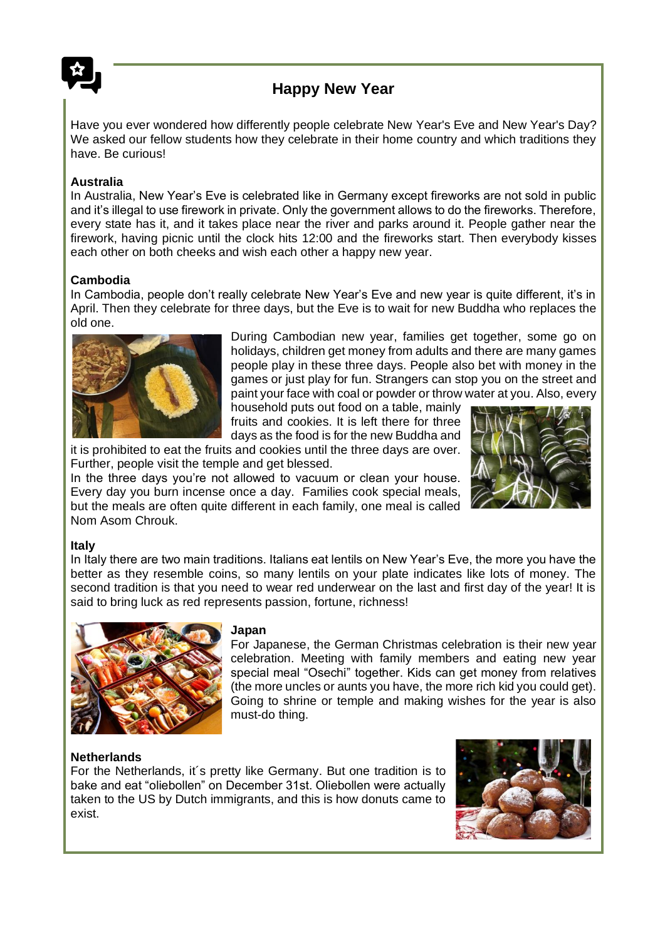

# **Happy New Year**

Have you ever wondered how differently people celebrate New Year's Eve and New Year's Day? We asked our fellow students how they celebrate in their home country and which traditions they have. Be curious!

### **Australia**

In Australia, New Year's Eve is celebrated like in Germany except fireworks are not sold in public and it's illegal to use firework in private. Only the government allows to do the fireworks. Therefore, every state has it, and it takes place near the river and parks around it. People gather near the firework, having picnic until the clock hits 12:00 and the fireworks start. Then everybody kisses each other on both cheeks and wish each other a happy new year.

#### **Cambodia**

In Cambodia, people don't really celebrate New Year's Eve and new year is quite different, it's in April. Then they celebrate for three days, but the Eve is to wait for new Buddha who replaces the old one.



During Cambodian new year, families get together, some go on holidays, children get money from adults and there are many games people play in these three days. People also bet with money in the games or just play for fun. Strangers can stop you on the street and paint your face with coal or powder or throw water at you. Also, every

household puts out food on a table, mainly fruits and cookies. It is left there for three days as the food is for the new Buddha and

it is prohibited to eat the fruits and cookies until the three days are over. Further, people visit the temple and get blessed.

In the three days you're not allowed to vacuum or clean your house. Every day you burn incense once a day. Families cook special meals, but the meals are often quite different in each family, one meal is called Nom Asom Chrouk.



#### **Italy**

In Italy there are two main traditions. Italians eat lentils on New Year's Eve, the more you have the better as they resemble coins, so many lentils on your plate indicates like lots of money. The second tradition is that you need to wear red underwear on the last and first day of the year! It is said to bring luck as red represents passion, fortune, richness!



#### **Japan**

For Japanese, the German Christmas celebration is their new year celebration. Meeting with family members and eating new year special meal "Osechi" together. Kids can get money from relatives (the more uncles or aunts you have, the more rich kid you could get). Going to shrine or temple and making wishes for the year is also must-do thing.

### **Netherlands**

For the Netherlands, it´s pretty like Germany. But one tradition is to bake and eat "oliebollen" on December 31st. Oliebollen were actually taken to the US by Dutch immigrants, and this is how donuts came to exist.